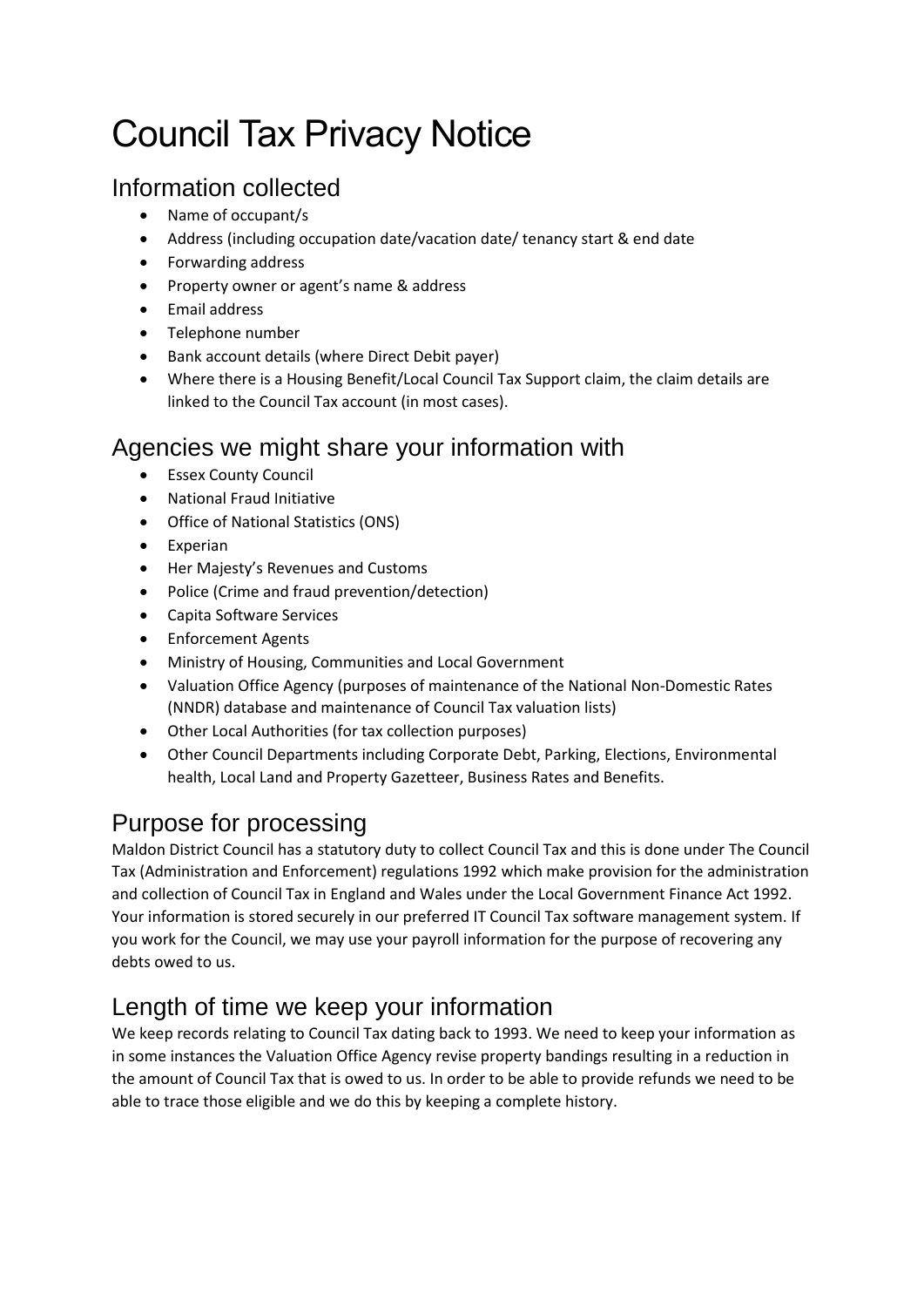# Council Tax Privacy Notice

## Information collected

- Name of occupant/s
- Address (including occupation date/vacation date/ tenancy start & end date
- Forwarding address
- Property owner or agent's name & address
- Email address
- Telephone number
- Bank account details (where Direct Debit payer)
- Where there is a Housing Benefit/Local Council Tax Support claim, the claim details are linked to the Council Tax account (in most cases).

## Agencies we might share your information with

- Essex County Council
- National Fraud Initiative
- Office of National Statistics (ONS)
- Experian
- Her Majesty's Revenues and Customs
- Police (Crime and fraud prevention/detection)
- Capita Software Services
- Enforcement Agents
- Ministry of Housing, Communities and Local Government
- Valuation Office Agency (purposes of maintenance of the National Non-Domestic Rates (NNDR) database and maintenance of Council Tax valuation lists)
- Other Local Authorities (for tax collection purposes)
- Other Council Departments including Corporate Debt, Parking, Elections, Environmental health, Local Land and Property Gazetteer, Business Rates and Benefits.

## Purpose for processing

Maldon District Council has a statutory duty to collect Council Tax and this is done under The Council Tax (Administration and Enforcement) regulations 1992 which make provision for the administration and collection of Council Tax in England and Wales under the Local Government Finance Act 1992. Your information is stored securely in our preferred IT Council Tax software management system. If you work for the Council, we may use your payroll information for the purpose of recovering any debts owed to us.

## Length of time we keep your information

We keep records relating to Council Tax dating back to 1993. We need to keep your information as in some instances the Valuation Office Agency revise property bandings resulting in a reduction in the amount of Council Tax that is owed to us. In order to be able to provide refunds we need to be able to trace those eligible and we do this by keeping a complete history.